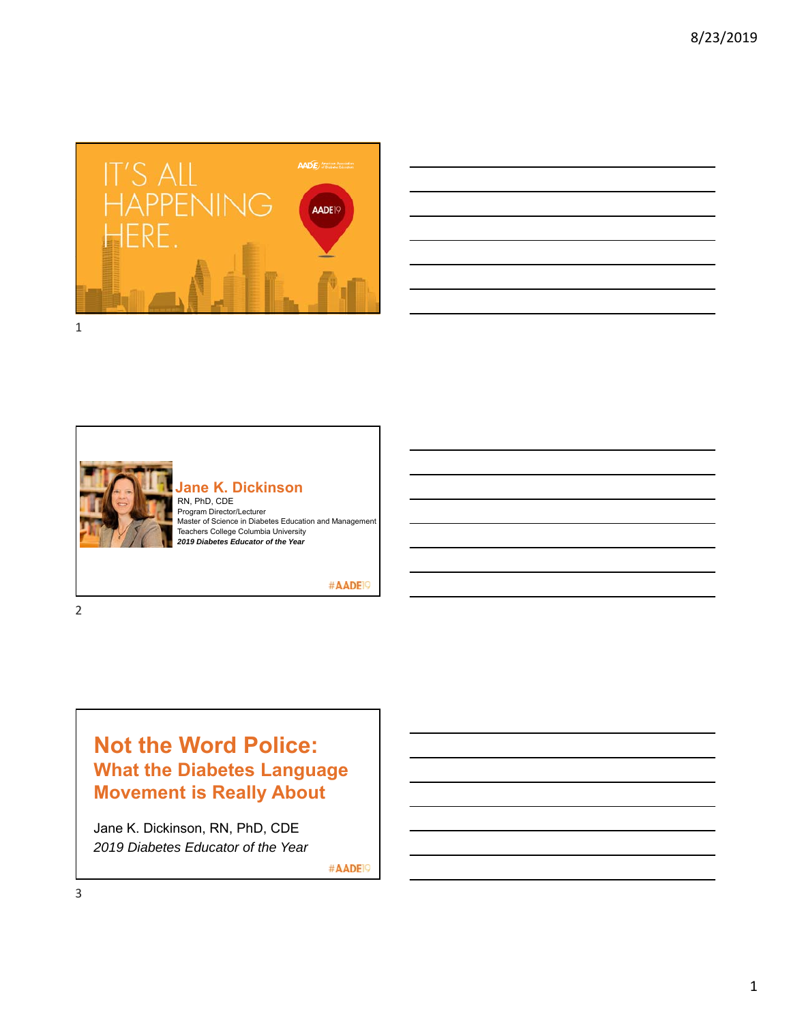

|  | <u> 1989 - Andrea Andrew Maria (h. 1989).</u>               | the control of the control of the                                                                                    |
|--|-------------------------------------------------------------|----------------------------------------------------------------------------------------------------------------------|
|  |                                                             | $\overline{\phantom{a}}$                                                                                             |
|  |                                                             |                                                                                                                      |
|  |                                                             |                                                                                                                      |
|  |                                                             | <u> 1989 - Andrea Santa Andrea Andrea Andrea Andrea Andrea Andrea Andrea Andrea Andrea Andrea Andrea Andrea Andr</u> |
|  | <u> 1989 - Johann Stoff, amerikansk politiker (d. 1989)</u> |                                                                                                                      |
|  |                                                             |                                                                                                                      |



#### **Jane K. Dickinson** RN, PhD, CDE Program Director/Lecturer

Master of Science in Diabetes Education and Management Teachers College Columbia University *2019 Diabetes Educator of the Year*

#AADE<sup>19</sup>

# **Not the Word Police: What the Diabetes Language Movement is Really About**

Jane K. Dickinson, RN, PhD, CDE *2019 Diabetes Educator of the Year*

#AADE<sup>19</sup>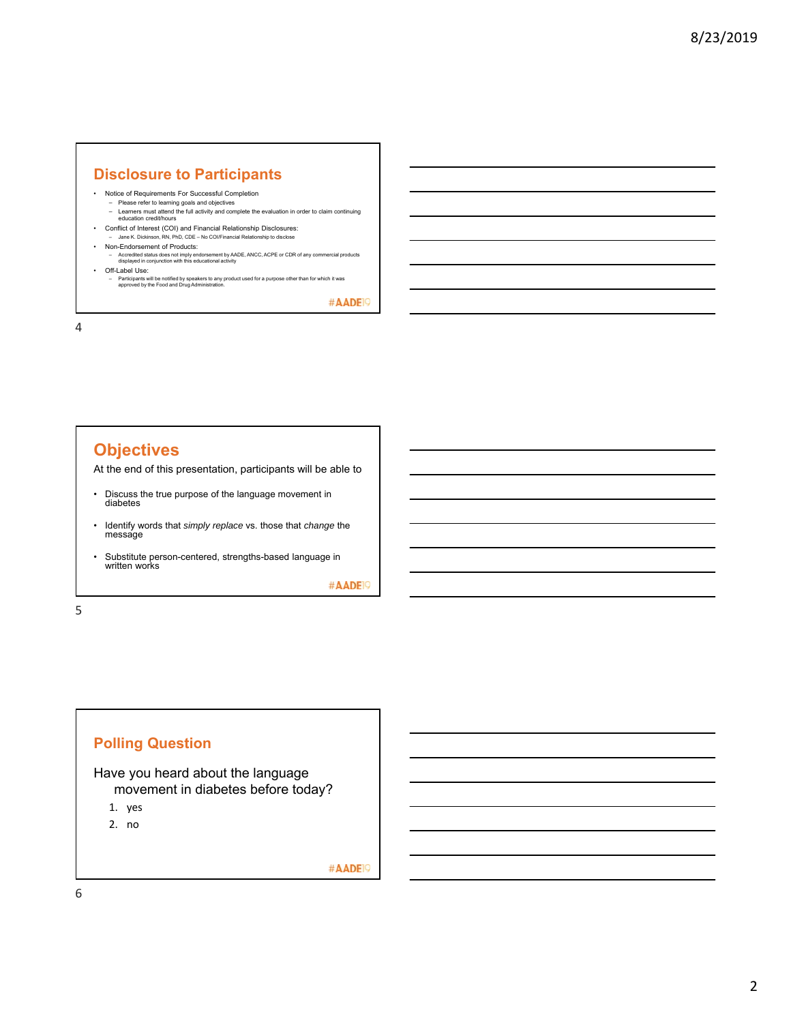#### **Disclosure to Participants**

- Notice of Requirements For Successful Completion
- Please refer to learning goals and objectives Learners must attend the full activity and complete the evaluation in order to claim continuing education credit/hours
- Conflict of Interest (COI) and Financial Relationship Disclosures: – Jane K. Dickinson, RN, PhD, CDE – No COI/Financial Relationship to disclose
- Non-Endorsement of Products:
	- Accredited status does not imply endorsement by AADE, ANCC, ACPE or CDR of any commercial products displayed in conjunction with this educational activity
- Off-Label Use:
	- Participants will be notified by speakers to any product used for a purpose other than for which it was approved by the Food and Drug Administration.

#AADE<sup>19</sup>

4

## **Objectives**

At the end of this presentation, participants will be able to

- Discuss the true purpose of the language movement in diabetes
- Identify words that *simply replace* vs. those that *change* the message
- Substitute person-centered, strengths-based language in written works

#AADE<sup>19</sup>

5



#AADE<sup>19</sup>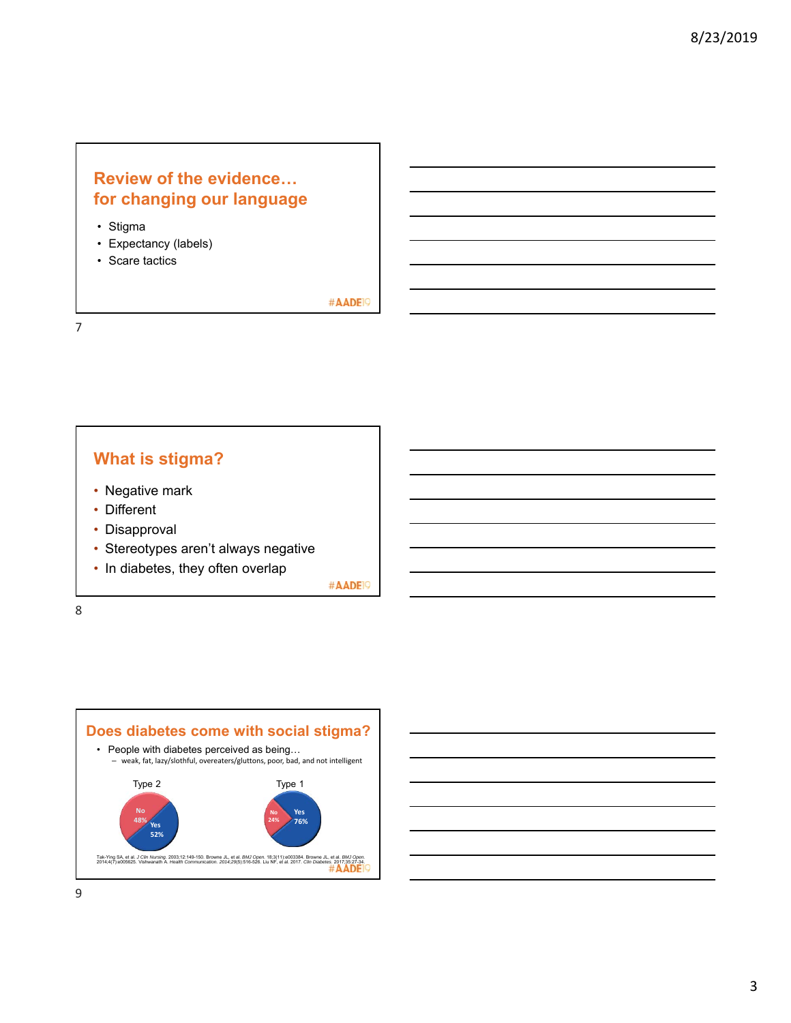### **Review of the evidence… for changing our language**

- Stigma
- Expectancy (labels)
- Scare tactics

#AADE<sup>19</sup>

7

# **What is stigma?**

- Negative mark
- Different
- Disapproval
- Stereotypes aren't always negative
- In diabetes, they often overlap

#AADE<sup>19</sup>

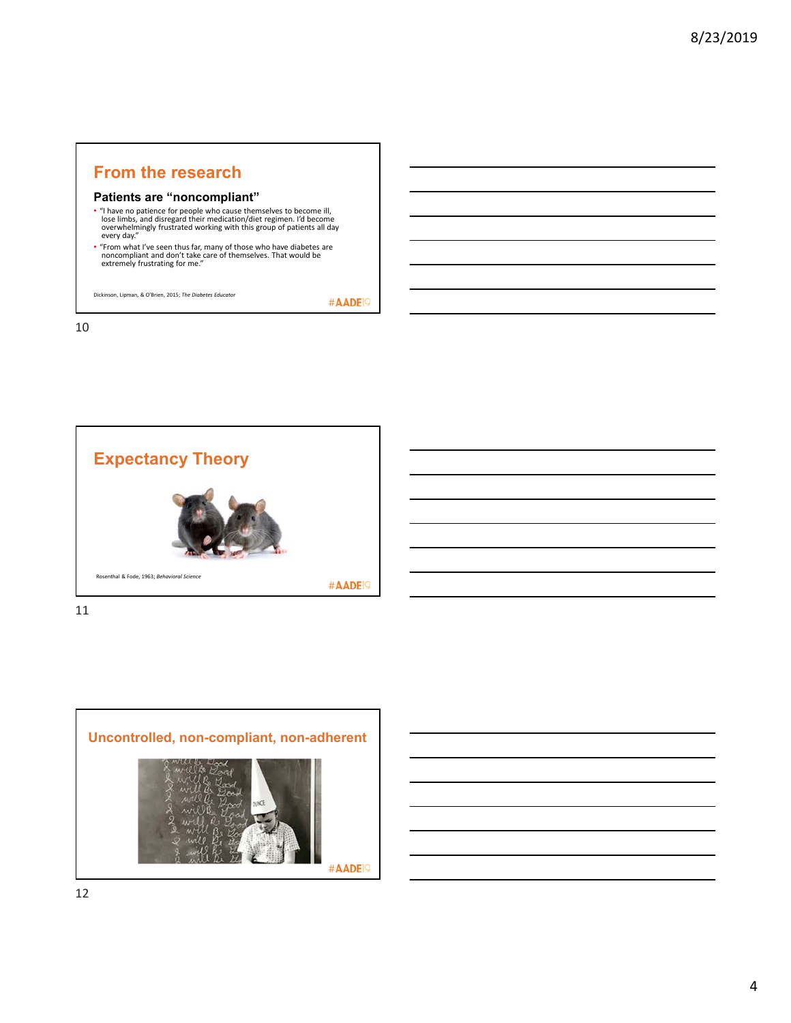### **From the research**

#### **Patients are "noncompliant"**

- "I have no patience for people who cause themselves to become ill, lose limbs, and disregard their medication/diet regimen. I'd become overwhelmingly frustrated working with this group of patients all day every day."
- "From what I've seen thus far, many of those who have diabetes are<br>noncompliant and don't take care of themselves. That would be<br>extremely frustrating for me."

Dickinson, Lipman, & O'Brien, 2015; *The Diabetes Educator*

#AADE<sup>19</sup>

10





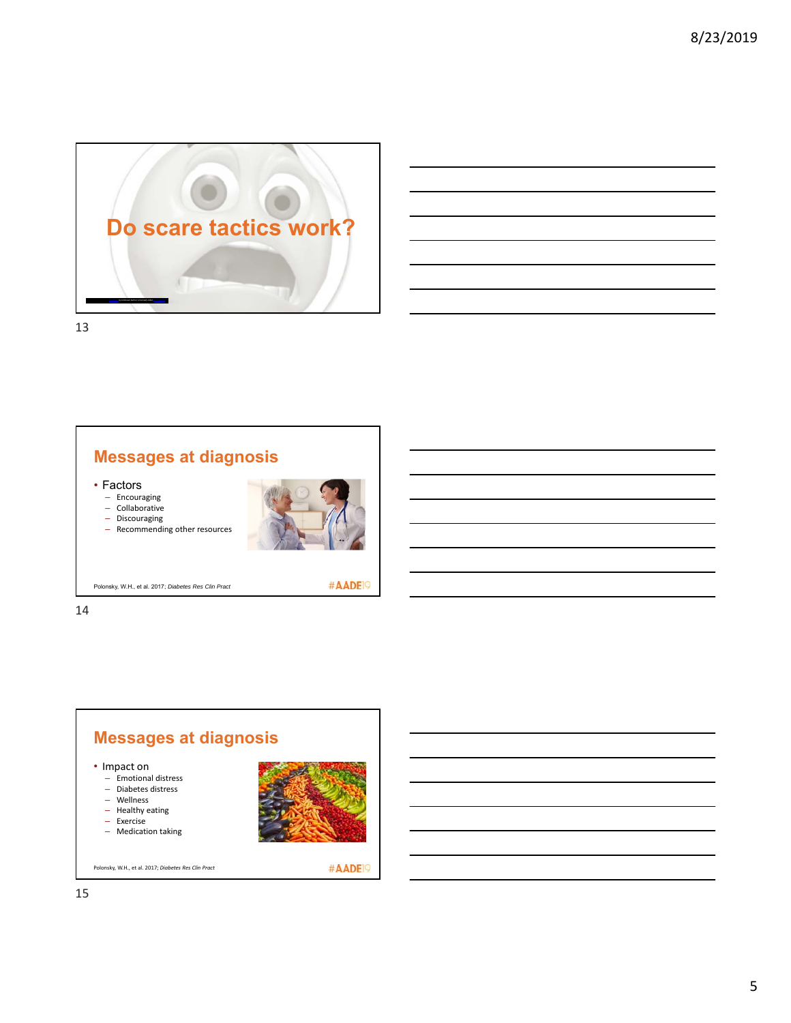

| the control of the control of the control of the control of the control of |  |                             |
|----------------------------------------------------------------------------|--|-----------------------------|
|                                                                            |  |                             |
|                                                                            |  |                             |
|                                                                            |  | <b>Service Contract</b>     |
|                                                                            |  |                             |
|                                                                            |  | and the control of the con- |
|                                                                            |  |                             |
|                                                                            |  |                             |

13

# **Messages at diagnosis**

• Factors

– Encouraging

– Collaborative

– Discouraging – Recommending other resources



Polonsky, W.H., et al. 2017; *Diabetes Res Clin Pract*

#AADE<sup>19</sup>

14

#### **Messages at diagnosis** • Impact on – Emotional distress – Diabetes distress – Wellness – Healthy eating – Exercise

– Medication taking



Polonsky, W.H., et al. 2017; *Diabetes Res Clin Pract*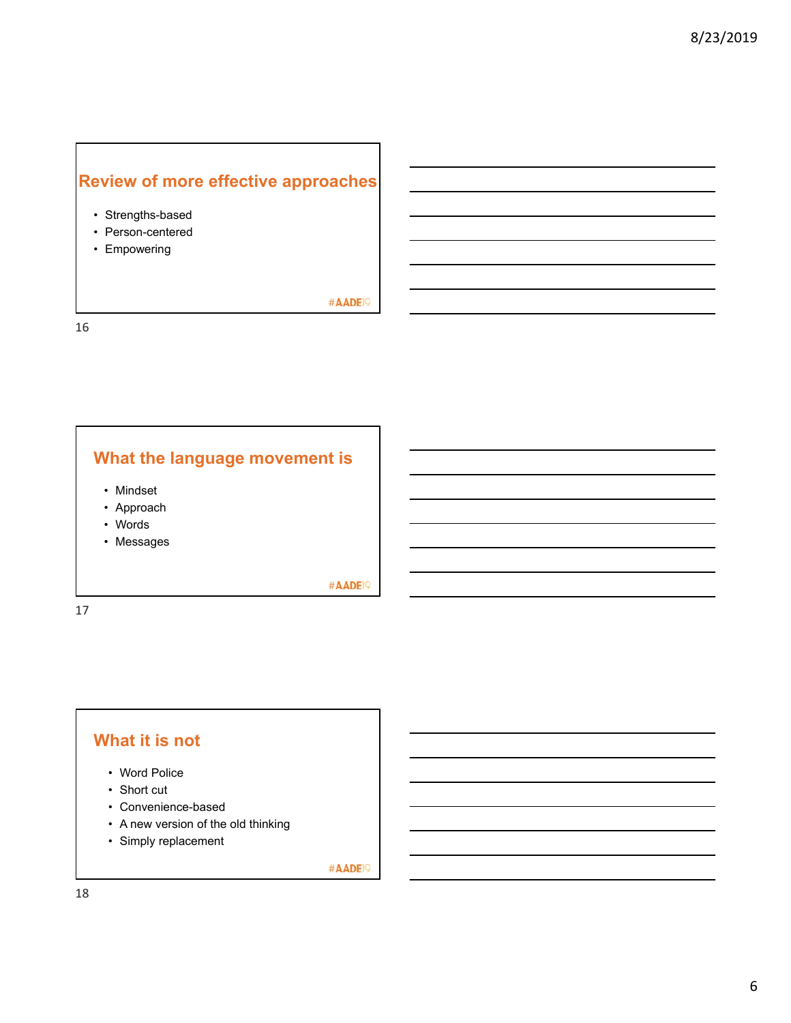# **Review of more effective approaches**

- Strengths-based
- Person-centered
- Empowering

#AADE<sup>19</sup>

16

# **What the language movement is**

- Mindset
- Approach
- Words
- Messages

#AADE<sup>19</sup>

17

## **What it is not**

- Word Police
- Short cut
- Convenience-based
- A new version of the old thinking
- Simply replacement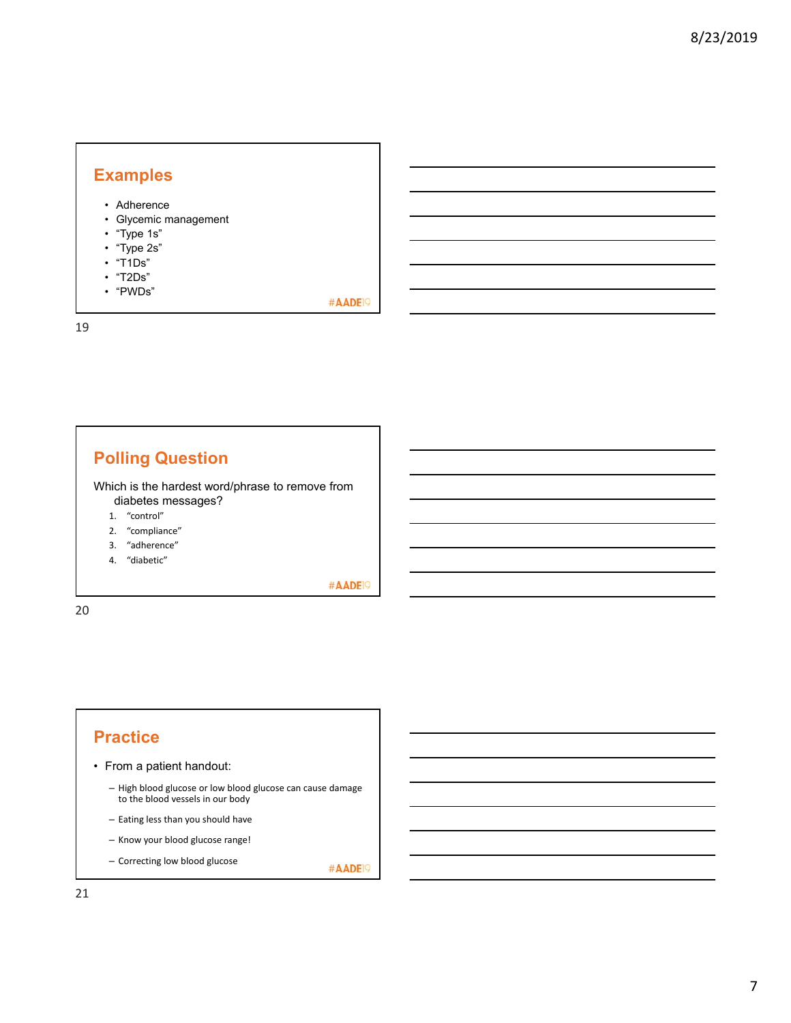## **Examples**

- Adherence
- Glycemic management
- "Type 1s"
- "Type 2s"
- "T1Ds"
- "T2Ds"
- "PWDs"

19

#AADE<sup>19</sup>

# **Polling Question**

Which is the hardest word/phrase to remove from diabetes messages?

- 1. "control"
- 2. "compliance"
- 3. "adherence"
- 4. "diabetic"

#AADE<sup>19</sup>

20

# **Practice**

- From a patient handout:
	- High blood glucose or low blood glucose can cause damage to the blood vessels in our body
	- Eating less than you should have
	- Know your blood glucose range!
	- Correcting low blood glucose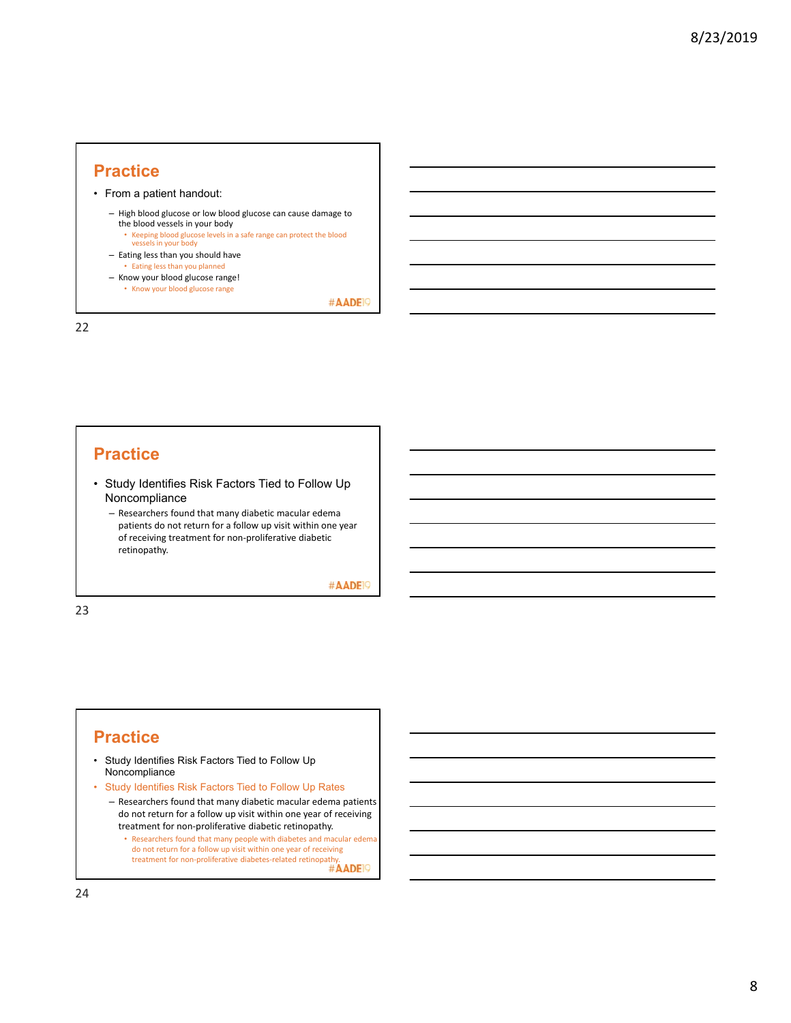- From a patient handout:
	- High blood glucose or low blood glucose can cause damage to the blood vessels in your body
		- Keeping blood glucose levels in a safe range can protect the blood vessels in your body
	- Eating less than you should have • Eating less than you planned
	- Know your blood glucose range! • Know your blood glucose range

#AADE<sup>19</sup>

22

#### **Practice**

- Study Identifies Risk Factors Tied to Follow Up Noncompliance
	- Researchers found that many diabetic macular edema patients do not return for a follow up visit within one year of receiving treatment for non‐proliferative diabetic retinopathy.

#AADE<sup>19</sup>

23

#### **Practice**

- Study Identifies Risk Factors Tied to Follow Up Noncompliance
- Study Identifies Risk Factors Tied to Follow Up Rates
	- Researchers found that many diabetic macular edema patients do not return for a follow up visit within one year of receiving treatment for non‐proliferative diabetic retinopathy.
		- Researchers found that many people with diabetes and macular edema do not return for a follow up visit within one year of receiving treatment for non-proliferative diabetes-related retinopathy.<br>
		##ADEI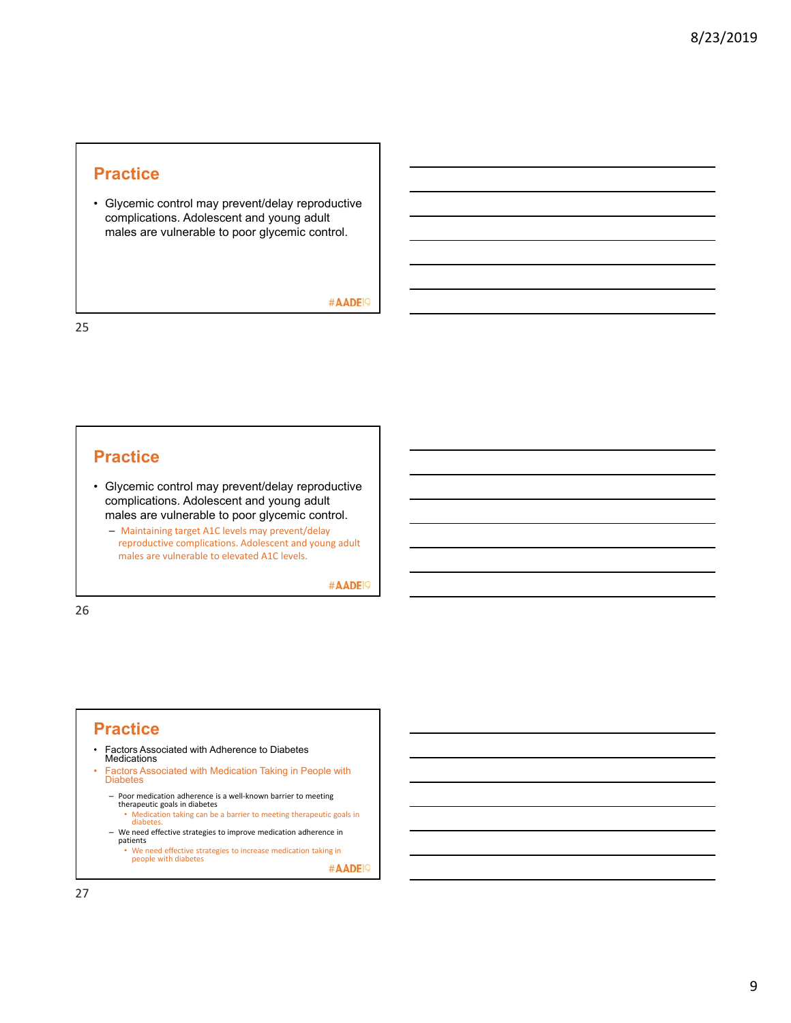• Glycemic control may prevent/delay reproductive complications. Adolescent and young adult males are vulnerable to poor glycemic control.

#AADE<sup>19</sup>

25

### **Practice**

- Glycemic control may prevent/delay reproductive complications. Adolescent and young adult males are vulnerable to poor glycemic control.
	- Maintaining target A1C levels may prevent/delay reproductive complications. Adolescent and young adult males are vulnerable to elevated A1C levels.

#AADE<sup>19</sup>

26

#### **Practice**

- Factors Associated with Adherence to Diabetes Medications
- Factors Associated with Medication Taking in People with Diabetes
	- Poor medication adherence is a well‐known barrier to meeting therapeutic goals in diabetes
	- Medication taking can be a barrier to meeting therapeutic goals in diabetes.
	- We need effective strategies to improve medication adherence in patients • We need effective strategies to increase medication taking in people with diabetes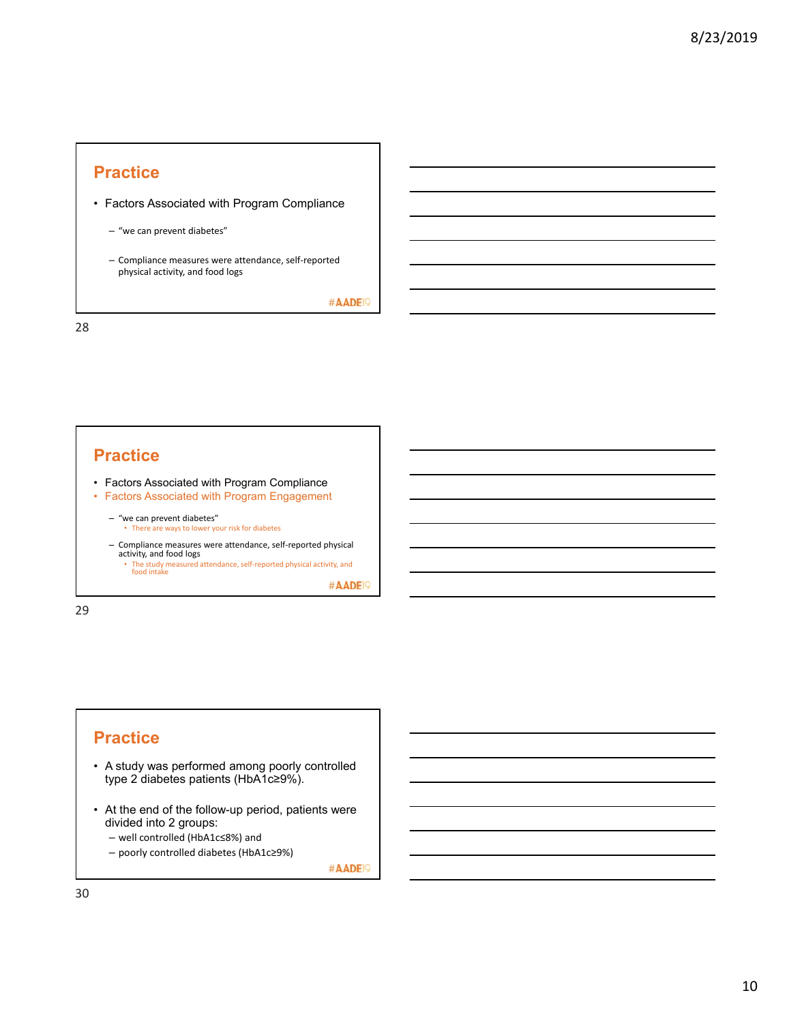- Factors Associated with Program Compliance
	- "we can prevent diabetes"
	- Compliance measures were attendance, self‐reported physical activity, and food logs

#AADE<sup>19</sup>

28

## **Practice**

- Factors Associated with Program Compliance
- Factors Associated with Program Engagement
	- "we can prevent diabetes" • There are ways to lower your risk for diabetes
	- Compliance measures were attendance, self‐reported physical activity, and food logs
	- The study measured attendance, self-reported physical activity, and food intake

#AADE<sup>19</sup>

29

## **Practice**

- A study was performed among poorly controlled type 2 diabetes patients (HbA1c≥9%).
- At the end of the follow-up period, patients were divided into 2 groups:
	- well controlled (HbA1c≤8%) and
	- poorly controlled diabetes (HbA1c≥9%)